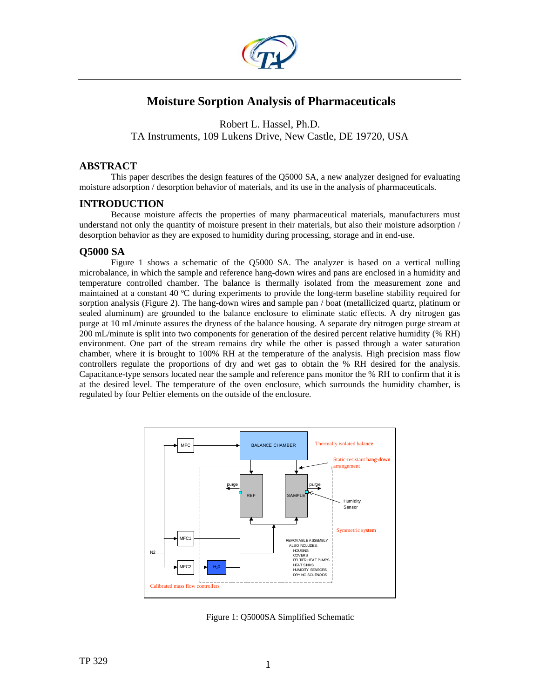

# **Moisture Sorption Analysis of Pharmaceuticals**

Robert L. Hassel, Ph.D. TA Instruments, 109 Lukens Drive, New Castle, DE 19720, USA

### **ABSTRACT**

This paper describes the design features of the Q5000 SA, a new analyzer designed for evaluating moisture adsorption / desorption behavior of materials, and its use in the analysis of pharmaceuticals.

### **INTRODUCTION**

Because moisture affects the properties of many pharmaceutical materials, manufacturers must understand not only the quantity of moisture present in their materials, but also their moisture adsorption / desorption behavior as they are exposed to humidity during processing, storage and in end-use.

### **Q5000 SA**

Figure 1 shows a schematic of the Q5000 SA. The analyzer is based on a vertical nulling microbalance, in which the sample and reference hang-down wires and pans are enclosed in a humidity and temperature controlled chamber. The balance is thermally isolated from the measurement zone and maintained at a constant 40 ºC during experiments to provide the long-term baseline stability required for sorption analysis (Figure 2). The hang-down wires and sample pan / boat (metallicized quartz, platinum or sealed aluminum) are grounded to the balance enclosure to eliminate static effects. A dry nitrogen gas purge at 10 mL/minute assures the dryness of the balance housing. A separate dry nitrogen purge stream at 200 mL/minute is split into two components for generation of the desired percent relative humidity (% RH) environment. One part of the stream remains dry while the other is passed through a water saturation chamber, where it is brought to 100% RH at the temperature of the analysis. High precision mass flow controllers regulate the proportions of dry and wet gas to obtain the % RH desired for the analysis. Capacitance-type sensors located near the sample and reference pans monitor the % RH to confirm that it is at the desired level. The temperature of the oven enclosure, which surrounds the humidity chamber, is regulated by four Peltier elements on the outside of the enclosure.



Figure 1: Q5000SA Simplified Schematic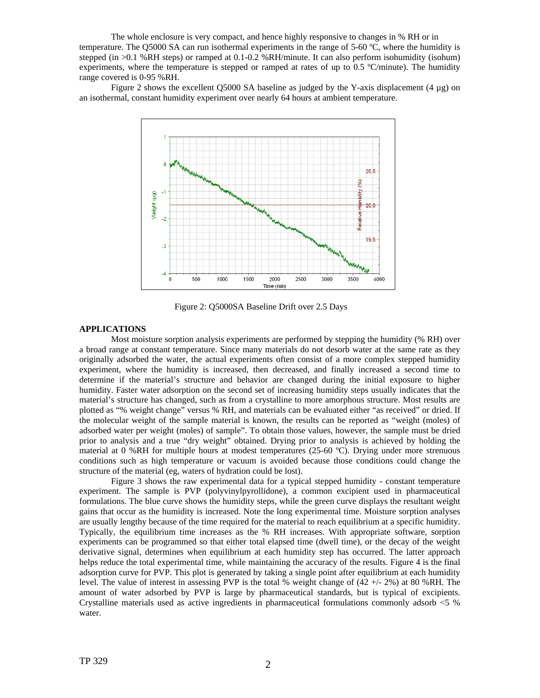The whole enclosure is very compact, and hence highly responsive to changes in % RH or in temperature. The Q5000 SA can run isothermal experiments in the range of 5-60 ºC, where the humidity is stepped (in >0.1 %RH steps) or ramped at 0.1-0.2 %RH/minute. It can also perform isohumidity (isohum) experiments, where the temperature is stepped or ramped at rates of up to 0.5 °C/minute). The humidity range covered is 0-95 %RH.

Figure 2 shows the excellent Q5000 SA baseline as judged by the Y-axis displacement (4  $\mu$ g) on an isothermal, constant humidity experiment over nearly 64 hours at ambient temperature.



Figure 2: Q5000SA Baseline Drift over 2.5 Days

#### **APPLICATIONS**

Most moisture sorption analysis experiments are performed by stepping the humidity (% RH) over a broad range at constant temperature. Since many materials do not desorb water at the same rate as they originally adsorbed the water, the actual experiments often consist of a more complex stepped humidity experiment, where the humidity is increased, then decreased, and finally increased a second time to determine if the material's structure and behavior are changed during the initial exposure to higher humidity. Faster water adsorption on the second set of increasing humidity steps usually indicates that the material's structure has changed, such as from a crystalline to more amorphous structure. Most results are plotted as "% weight change" versus % RH, and materials can be evaluated either "as received" or dried. If the molecular weight of the sample material is known, the results can be reported as "weight (moles) of adsorbed water per weight (moles) of sample". To obtain those values, however, the sample must be dried prior to analysis and a true "dry weight" obtained. Drying prior to analysis is achieved by holding the material at 0 %RH for multiple hours at modest temperatures (25-60 °C). Drying under more strenuous conditions such as high temperature or vacuum is avoided because those conditions could change the structure of the material (eg, waters of hydration could be lost).

Figure 3 shows the raw experimental data for a typical stepped humidity - constant temperature experiment. The sample is PVP (polyvinylpyrollidone), a common excipient used in pharmaceutical formulations. The blue curve shows the humidity steps, while the green curve displays the resultant weight gains that occur as the humidity is increased. Note the long experimental time. Moisture sorption analyses are usually lengthy because of the time required for the material to reach equilibrium at a specific humidity. Typically, the equilibrium time increases as the % RH increases. With appropriate software, sorption experiments can be programmed so that either total elapsed time (dwell time), or the decay of the weight derivative signal, determines when equilibrium at each humidity step has occurred. The latter approach helps reduce the total experimental time, while maintaining the accuracy of the results. Figure 4 is the final adsorption curve for PVP. This plot is generated by taking a single point after equilibrium at each humidity level. The value of interest in assessing PVP is the total % weight change of (42 +/- 2%) at 80 %RH. The amount of water adsorbed by PVP is large by pharmaceutical standards, but is typical of excipients. Crystalline materials used as active ingredients in pharmaceutical formulations commonly adsorb <5 % water.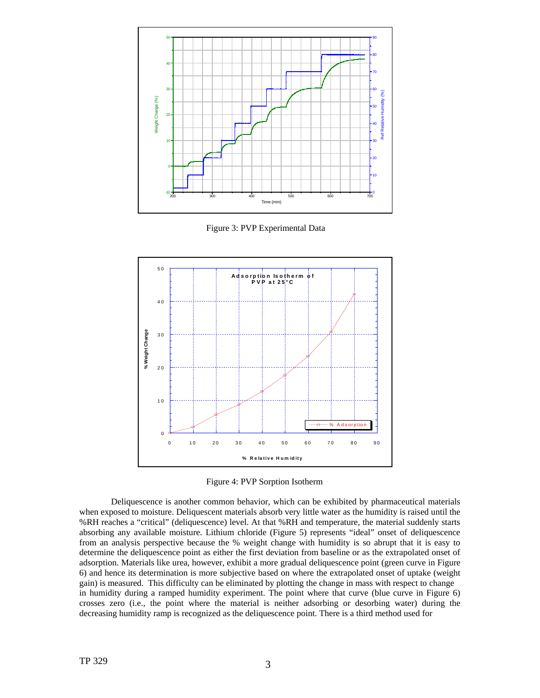

Figure 3: PVP Experimental Data



Figure 4: PVP Sorption Isotherm

Deliquescence is another common behavior, which can be exhibited by pharmaceutical materials when exposed to moisture. Deliquescent materials absorb very little water as the humidity is raised until the %RH reaches a "critical" (deliquescence) level. At that %RH and temperature, the material suddenly starts absorbing any available moisture. Lithium chloride (Figure 5) represents "ideal" onset of deliquescence from an analysis perspective because the % weight change with humidity is so abrupt that it is easy to determine the deliquescence point as either the first deviation from baseline or as the extrapolated onset of adsorption. Materials like urea, however, exhibit a more gradual deliquescence point (green curve in Figure 6) and hence its determination is more subjective based on where the extrapolated onset of uptake (weight gain) is measured. This difficulty can be eliminated by plotting the change in mass with respect to change in humidity during a ramped humidity experiment. The point where that curve (blue curve in Figure 6) crosses zero (i.e., the point where the material is neither adsorbing or desorbing water) during the decreasing humidity ramp is recognized as the deliquescence point. There is a third method used for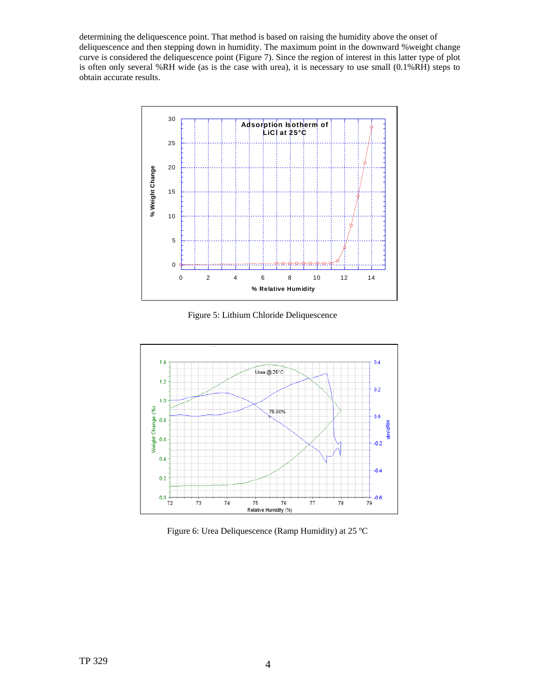determining the deliquescence point. That method is based on raising the humidity above the onset of deliquescence and then stepping down in humidity. The maximum point in the downward %weight change curve is considered the deliquescence point (Figure 7). Since the region of interest in this latter type of plot is often only several %RH wide (as is the case with urea), it is necessary to use small (0.1%RH) steps to obtain accurate results.



Figure 5: Lithium Chloride Deliquescence



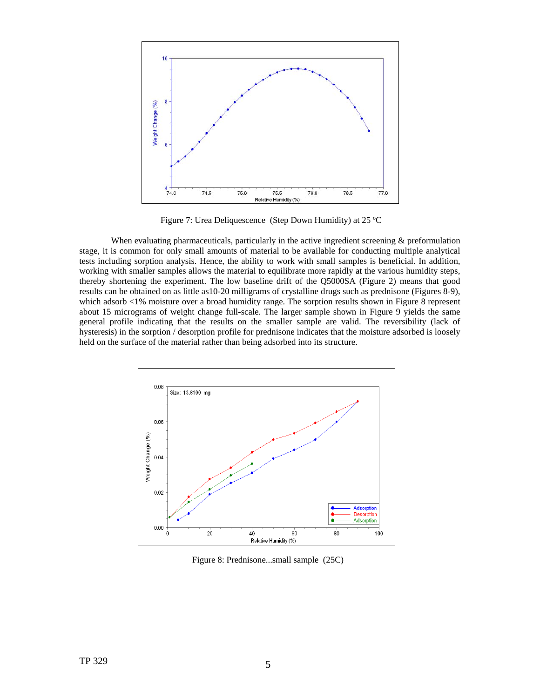

Figure 7: Urea Deliquescence (Step Down Humidity) at 25 ºC

When evaluating pharmaceuticals, particularly in the active ingredient screening & preformulation stage, it is common for only small amounts of material to be available for conducting multiple analytical tests including sorption analysis. Hence, the ability to work with small samples is beneficial. In addition, working with smaller samples allows the material to equilibrate more rapidly at the various humidity steps, thereby shortening the experiment. The low baseline drift of the Q5000SA (Figure 2) means that good results can be obtained on as little as10-20 milligrams of crystalline drugs such as prednisone (Figures 8-9), which adsorb <1% moisture over a broad humidity range. The sorption results shown in Figure 8 represent about 15 micrograms of weight change full-scale. The larger sample shown in Figure 9 yields the same general profile indicating that the results on the smaller sample are valid. The reversibility (lack of hysteresis) in the sorption / desorption profile for prednisone indicates that the moisture adsorbed is loosely held on the surface of the material rather than being adsorbed into its structure.



Figure 8: Prednisone...small sample (25C)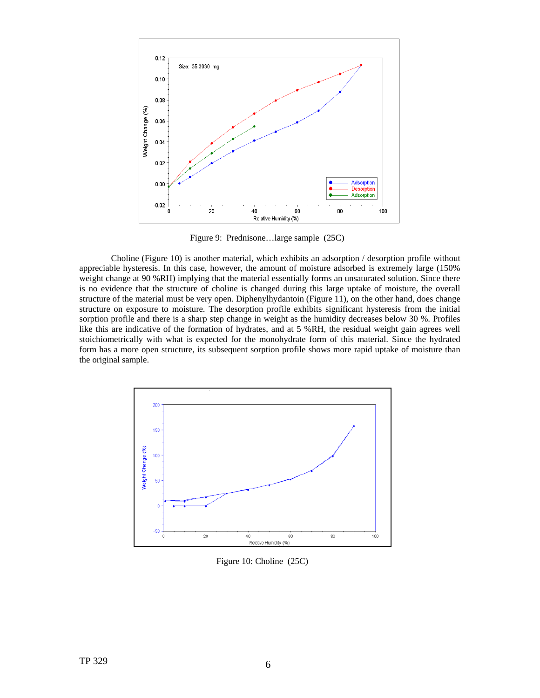

Figure 9: Prednisone…large sample (25C)

Choline (Figure 10) is another material, which exhibits an adsorption / desorption profile without appreciable hysteresis. In this case, however, the amount of moisture adsorbed is extremely large (150% weight change at 90 %RH) implying that the material essentially forms an unsaturated solution. Since there is no evidence that the structure of choline is changed during this large uptake of moisture, the overall structure of the material must be very open. Diphenylhydantoin (Figure 11), on the other hand, does change structure on exposure to moisture. The desorption profile exhibits significant hysteresis from the initial sorption profile and there is a sharp step change in weight as the humidity decreases below 30 %. Profiles like this are indicative of the formation of hydrates, and at 5 %RH, the residual weight gain agrees well stoichiometrically with what is expected for the monohydrate form of this material. Since the hydrated form has a more open structure, its subsequent sorption profile shows more rapid uptake of moisture than the original sample.



Figure 10: Choline (25C)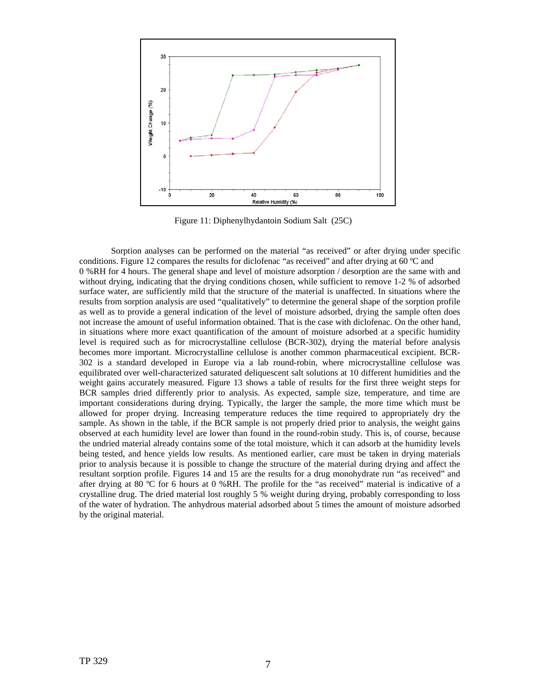

Figure 11: Diphenylhydantoin Sodium Salt (25C)

Sorption analyses can be performed on the material "as received" or after drying under specific conditions. Figure 12 compares the results for diclofenac "as received" and after drying at 60 °C and 0 %RH for 4 hours. The general shape and level of moisture adsorption / desorption are the same with and without drying, indicating that the drying conditions chosen, while sufficient to remove 1-2 % of adsorbed surface water, are sufficiently mild that the structure of the material is unaffected. In situations where the results from sorption analysis are used "qualitatively" to determine the general shape of the sorption profile as well as to provide a general indication of the level of moisture adsorbed, drying the sample often does not increase the amount of useful information obtained. That is the case with diclofenac. On the other hand, in situations where more exact quantification of the amount of moisture adsorbed at a specific humidity level is required such as for microcrystalline cellulose (BCR-302), drying the material before analysis becomes more important. Microcrystalline cellulose is another common pharmaceutical excipient. BCR-302 is a standard developed in Europe via a lab round-robin, where microcrystalline cellulose was equilibrated over well-characterized saturated deliquescent salt solutions at 10 different humidities and the weight gains accurately measured. Figure 13 shows a table of results for the first three weight steps for BCR samples dried differently prior to analysis. As expected, sample size, temperature, and time are important considerations during drying. Typically, the larger the sample, the more time which must be allowed for proper drying. Increasing temperature reduces the time required to appropriately dry the sample. As shown in the table, if the BCR sample is not properly dried prior to analysis, the weight gains observed at each humidity level are lower than found in the round-robin study. This is, of course, because the undried material already contains some of the total moisture, which it can adsorb at the humidity levels being tested, and hence yields low results. As mentioned earlier, care must be taken in drying materials prior to analysis because it is possible to change the structure of the material during drying and affect the resultant sorption profile. Figures 14 and 15 are the results for a drug monohydrate run "as received" and after drying at 80 ºC for 6 hours at 0 %RH. The profile for the "as received" material is indicative of a crystalline drug. The dried material lost roughly 5 % weight during drying, probably corresponding to loss of the water of hydration. The anhydrous material adsorbed about 5 times the amount of moisture adsorbed by the original material.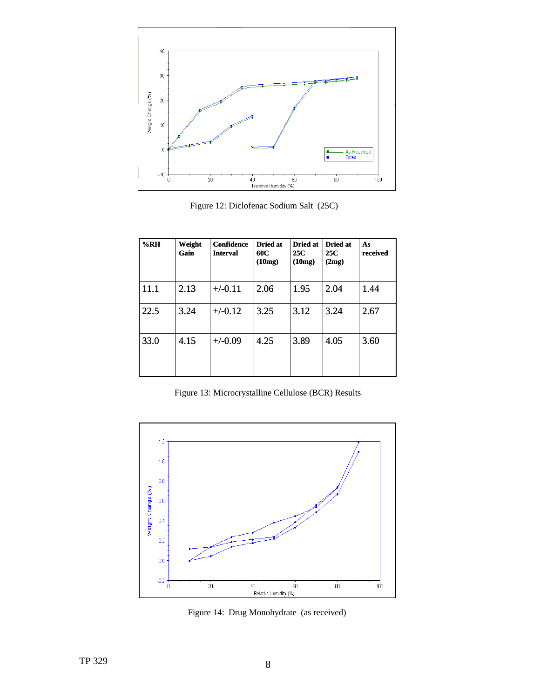

Figure 12: Diclofenac Sodium Salt (25C)

| %RH  | Weight<br>Gain | <b>Confidence</b><br><b>Interval</b> | Dried at<br>60C<br>(10mg) | Dried at<br>25C<br>(10mg) | <b>Dried at</b><br>25C<br>(2mg) | As<br>received |
|------|----------------|--------------------------------------|---------------------------|---------------------------|---------------------------------|----------------|
| 11.1 | 2.13           | $+/-0.11$                            | 2.06                      | 1.95                      | 2.04                            | 1.44           |
| 22.5 | 3.24           | $+/-0.12$                            | 3.25                      | 3.12                      | 3.24                            | 2.67           |
| 33.0 | 4.15           | $+/-0.09$                            | 4.25                      | 3.89                      | 4.05                            | 3.60           |

Figure 13: Microcrystalline Cellulose (BCR) Results



Figure 14: Drug Monohydrate (as received)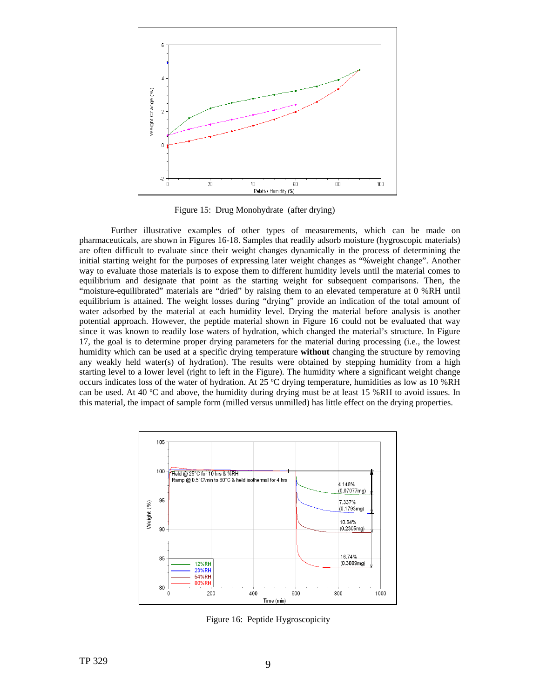

Figure 15: Drug Monohydrate (after drying)

 Further illustrative examples of other types of measurements, which can be made on pharmaceuticals, are shown in Figures 16-18. Samples that readily adsorb moisture (hygroscopic materials) are often difficult to evaluate since their weight changes dynamically in the process of determining the initial starting weight for the purposes of expressing later weight changes as "%weight change". Another way to evaluate those materials is to expose them to different humidity levels until the material comes to equilibrium and designate that point as the starting weight for subsequent comparisons. Then, the "moisture-equilibrated" materials are "dried" by raising them to an elevated temperature at 0 %RH until equilibrium is attained. The weight losses during "drying" provide an indication of the total amount of water adsorbed by the material at each humidity level. Drying the material before analysis is another potential approach. However, the peptide material shown in Figure 16 could not be evaluated that way since it was known to readily lose waters of hydration, which changed the material's structure. In Figure 17, the goal is to determine proper drying parameters for the material during processing (i.e., the lowest humidity which can be used at a specific drying temperature **without** changing the structure by removing any weakly held water(s) of hydration). The results were obtained by stepping humidity from a high starting level to a lower level (right to left in the Figure). The humidity where a significant weight change occurs indicates loss of the water of hydration. At 25 ºC drying temperature, humidities as low as 10 %RH can be used. At 40 ºC and above, the humidity during drying must be at least 15 %RH to avoid issues. In this material, the impact of sample form (milled versus unmilled) has little effect on the drying properties.



Figure 16: Peptide Hygroscopicity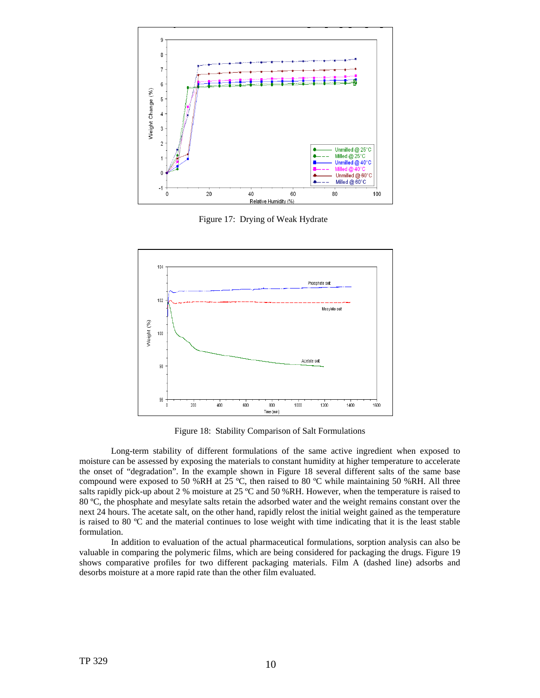

Figure 17: Drying of Weak Hydrate



Figure 18: Stability Comparison of Salt Formulations

Long-term stability of different formulations of the same active ingredient when exposed to moisture can be assessed by exposing the materials to constant humidity at higher temperature to accelerate the onset of "degradation". In the example shown in Figure 18 several different salts of the same base compound were exposed to 50 %RH at 25  $^{\circ}$ C, then raised to 80  $^{\circ}$ C while maintaining 50 %RH. All three salts rapidly pick-up about 2 % moisture at 25 °C and 50 %RH. However, when the temperature is raised to 80 ºC, the phosphate and mesylate salts retain the adsorbed water and the weight remains constant over the next 24 hours. The acetate salt, on the other hand, rapidly relost the initial weight gained as the temperature is raised to 80 ºC and the material continues to lose weight with time indicating that it is the least stable formulation.

In addition to evaluation of the actual pharmaceutical formulations, sorption analysis can also be valuable in comparing the polymeric films, which are being considered for packaging the drugs. Figure 19 shows comparative profiles for two different packaging materials. Film A (dashed line) adsorbs and desorbs moisture at a more rapid rate than the other film evaluated.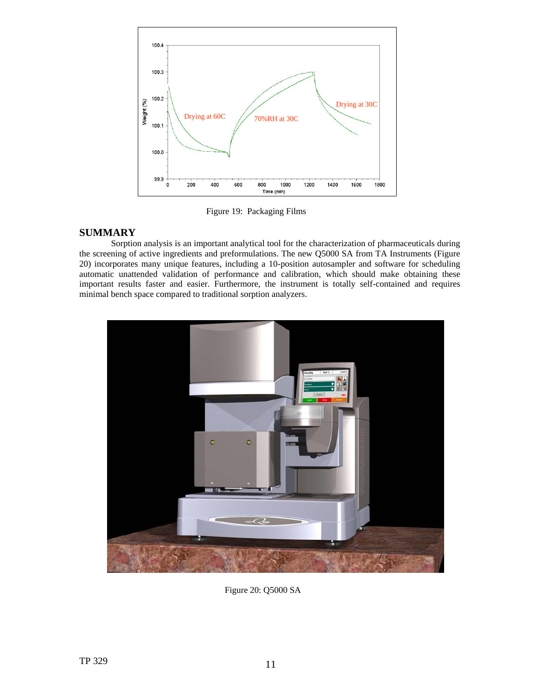

Figure 19: Packaging Films

### **SUMMARY**

Sorption analysis is an important analytical tool for the characterization of pharmaceuticals during the screening of active ingredients and preformulations. The new Q5000 SA from TA Instruments (Figure 20) incorporates many unique features, including a 10-position autosampler and software for scheduling automatic unattended validation of performance and calibration, which should make obtaining these important results faster and easier. Furthermore, the instrument is totally self-contained and requires minimal bench space compared to traditional sorption analyzers.



Figure 20: Q5000 SA